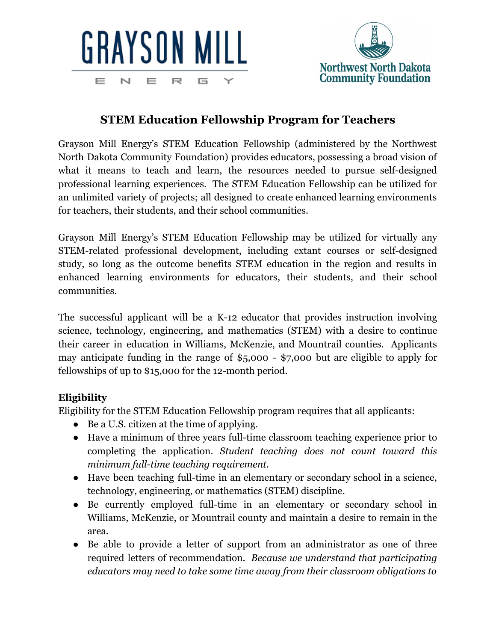



## **STEM Education Fellowship Program for Teachers**

Grayson Mill Energy's STEM Education Fellowship (administered by the Northwest North Dakota Community Foundation) provides educators, possessing a broad vision of what it means to teach and learn, the resources needed to pursue self-designed professional learning experiences. The STEM Education Fellowship can be utilized for an unlimited variety of projects; all designed to create enhanced learning environments for teachers, their students, and their school communities.

Grayson Mill Energy's STEM Education Fellowship may be utilized for virtually any STEM-related professional development, including extant courses or self-designed study, so long as the outcome benefits STEM education in the region and results in enhanced learning environments for educators, their students, and their school communities.

The successful applicant will be a K-12 educator that provides instruction involving science, technology, engineering, and mathematics (STEM) with a desire to continue their career in education in Williams, McKenzie, and Mountrail counties. Applicants may anticipate funding in the range of \$5,000 - \$7,000 but are eligible to apply for fellowships of up to \$15,000 for the 12-month period.

## **Eligibility**

Eligibility for the STEM Education Fellowship program requires that all applicants:

- Be a U.S. citizen at the time of applying.
- Have a minimum of three years full-time classroom teaching experience prior to completing the application. *Student teaching does not count toward this minimum full-time teaching requirement.*
- Have been teaching full-time in an elementary or secondary school in a science, technology, engineering, or mathematics (STEM) discipline.
- Be currently employed full-time in an elementary or secondary school in Williams, McKenzie, or Mountrail county and maintain a desire to remain in the area.
- Be able to provide a letter of support from an administrator as one of three required letters of recommendation. *Because we understand that participating educators may need to take some time away from their classroom obligations to*